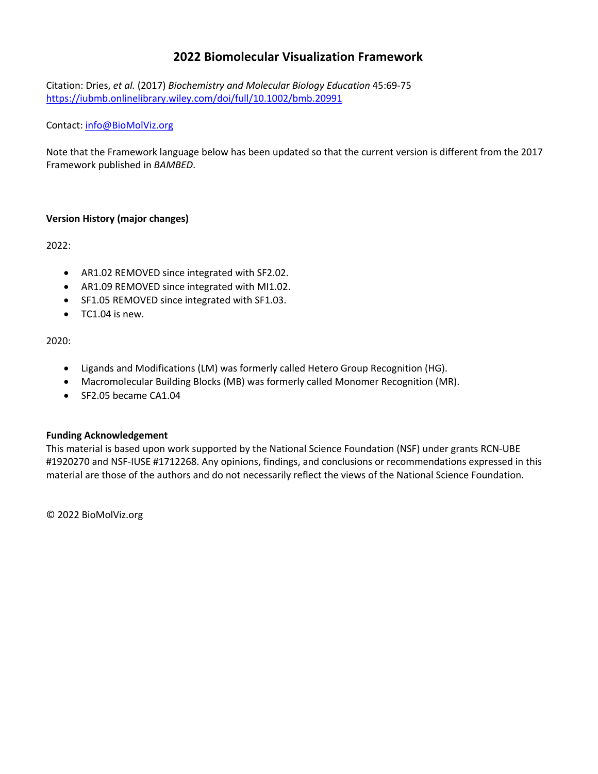# **2022 Biomolecular Visualization Framework**

Citation: Dries, *et al.* (2017) *Biochemistry and Molecular Biology Education* 45:69-75 https://iubmb.onlinelibrary.wiley.com/doi/full/10.1002/bmb.20991

### Contact: info@BioMolViz.org

Note that the Framework language below has been updated so that the current version is different from the 2017 Framework published in *BAMBED*.

# **Version History (major changes)**

2022:

- AR1.02 REMOVED since integrated with SF2.02.
- AR1.09 REMOVED since integrated with MI1.02.
- SF1.05 REMOVED since integrated with SF1.03.
- TC1.04 is new.

# 2020:

- Ligands and Modifications (LM) was formerly called Hetero Group Recognition (HG).
- Macromolecular Building Blocks (MB) was formerly called Monomer Recognition (MR).
- SF2.05 became CA1.04

### **Funding Acknowledgement**

This material is based upon work supported by the National Science Foundation (NSF) under grants RCN-UBE #1920270 and NSF-IUSE #1712268. Any opinions, findings, and conclusions or recommendations expressed in this material are those of the authors and do not necessarily reflect the views of the National Science Foundation.

© 2022 BioMolViz.org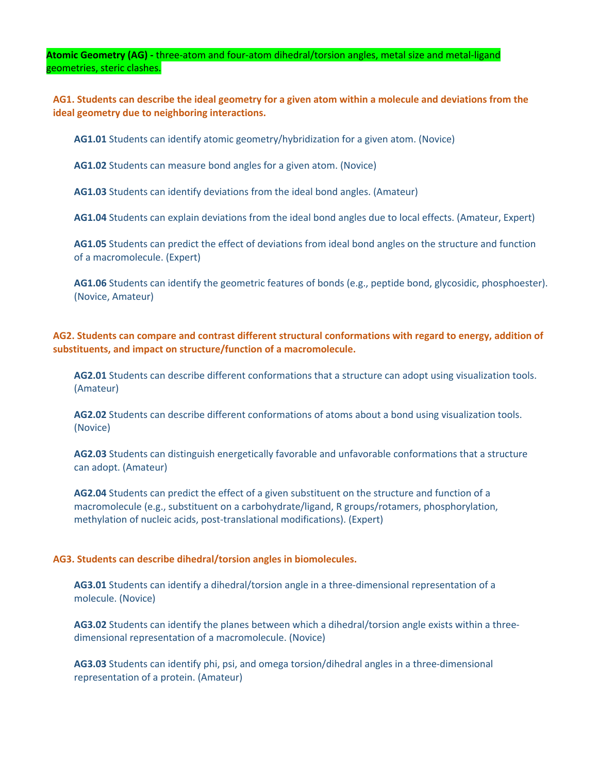**Atomic Geometry (AG) -** three-atom and four-atom dihedral/torsion angles, metal size and metal-ligand geometries, steric clashes.

**AG1. Students can describe the ideal geometry for a given atom within a molecule and deviations from the ideal geometry due to neighboring interactions.**

**AG1.01** Students can identify atomic geometry/hybridization for a given atom. (Novice)

**AG1.02** Students can measure bond angles for a given atom. (Novice)

**AG1.03** Students can identify deviations from the ideal bond angles. (Amateur)

**AG1.04** Students can explain deviations from the ideal bond angles due to local effects. (Amateur, Expert)

**AG1.05** Students can predict the effect of deviations from ideal bond angles on the structure and function of a macromolecule. (Expert)

**AG1.06** Students can identify the geometric features of bonds (e.g., peptide bond, glycosidic, phosphoester). (Novice, Amateur)

**AG2. Students can compare and contrast different structural conformations with regard to energy, addition of substituents, and impact on structure/function of a macromolecule.**

**AG2.01** Students can describe different conformations that a structure can adopt using visualization tools. (Amateur)

**AG2.02** Students can describe different conformations of atoms about a bond using visualization tools. (Novice)

**AG2.03** Students can distinguish energetically favorable and unfavorable conformations that a structure can adopt. (Amateur)

**AG2.04** Students can predict the effect of a given substituent on the structure and function of a macromolecule (e.g., substituent on a carbohydrate/ligand, R groups/rotamers, phosphorylation, methylation of nucleic acids, post-translational modifications). (Expert)

### **AG3. Students can describe dihedral/torsion angles in biomolecules.**

**AG3.01** Students can identify a dihedral/torsion angle in a three-dimensional representation of a molecule. (Novice)

**AG3.02** Students can identify the planes between which a dihedral/torsion angle exists within a threedimensional representation of a macromolecule. (Novice)

**AG3.03** Students can identify phi, psi, and omega torsion/dihedral angles in a three-dimensional representation of a protein. (Amateur)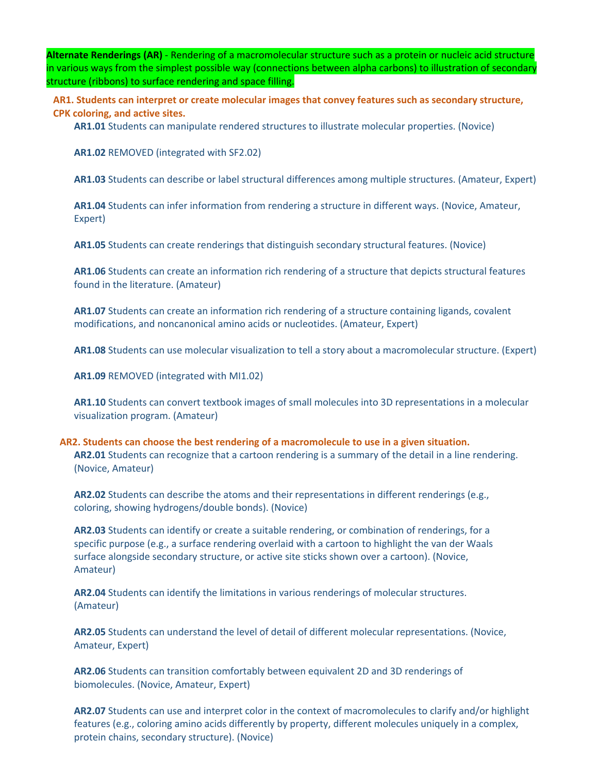**Alternate Renderings (AR)** - Rendering of a macromolecular structure such as a protein or nucleic acid structure in various ways from the simplest possible way (connections between alpha carbons) to illustration of secondary structure (ribbons) to surface rendering and space filling.

**AR1. Students can interpret or create molecular images that convey features such as secondary structure, CPK coloring, and active sites.**

**AR1.01** Students can manipulate rendered structures to illustrate molecular properties. (Novice)

**AR1.02** REMOVED (integrated with SF2.02)

**AR1.03** Students can describe or label structural differences among multiple structures. (Amateur, Expert)

**AR1.04** Students can infer information from rendering a structure in different ways. (Novice, Amateur, Expert)

**AR1.05** Students can create renderings that distinguish secondary structural features. (Novice)

**AR1.06** Students can create an information rich rendering of a structure that depicts structural features found in the literature. (Amateur)

**AR1.07** Students can create an information rich rendering of a structure containing ligands, covalent modifications, and noncanonical amino acids or nucleotides. (Amateur, Expert)

**AR1.08** Students can use molecular visualization to tell a story about a macromolecular structure. (Expert)

**AR1.09** REMOVED (integrated with MI1.02)

**AR1.10** Students can convert textbook images of small molecules into 3D representations in a molecular visualization program. (Amateur)

**AR2. Students can choose the best rendering of a macromolecule to use in a given situation. AR2.01** Students can recognize that a cartoon rendering is a summary of the detail in a line rendering. (Novice, Amateur)

**AR2.02** Students can describe the atoms and their representations in different renderings (e.g., coloring, showing hydrogens/double bonds). (Novice)

**AR2.03** Students can identify or create a suitable rendering, or combination of renderings, for a specific purpose (e.g., a surface rendering overlaid with a cartoon to highlight the van der Waals surface alongside secondary structure, or active site sticks shown over a cartoon). (Novice, Amateur)

**AR2.04** Students can identify the limitations in various renderings of molecular structures. (Amateur)

**AR2.05** Students can understand the level of detail of different molecular representations. (Novice, Amateur, Expert)

**AR2.06** Students can transition comfortably between equivalent 2D and 3D renderings of biomolecules. (Novice, Amateur, Expert)

**AR2.07** Students can use and interpret color in the context of macromolecules to clarify and/or highlight features (e.g., coloring amino acids differently by property, different molecules uniquely in a complex, protein chains, secondary structure). (Novice)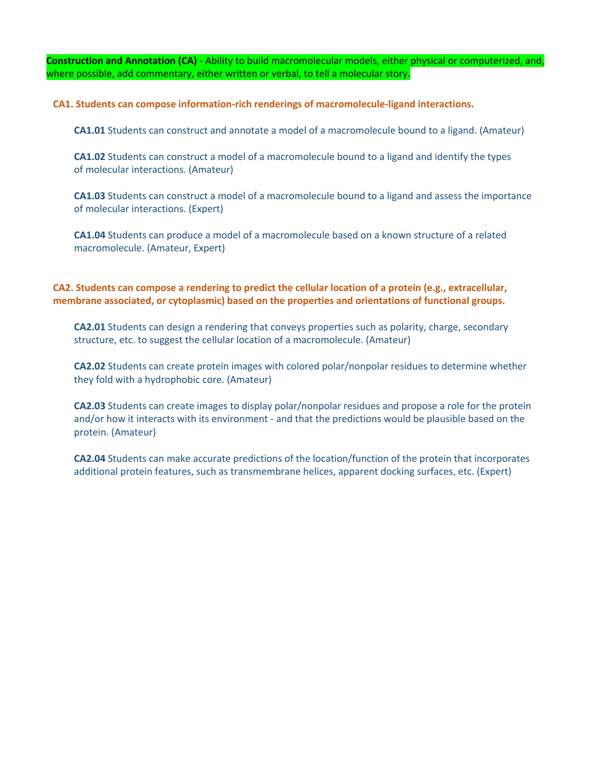**Construction and Annotation (CA)** - Ability to build macromolecular models, either physical or computerized, and, where possible, add commentary, either written or verbal, to tell a molecular story.

**CA1. Students can compose information-rich renderings of macromolecule-ligand interactions.**

**CA1.01** Students can construct and annotate a model of a macromolecule bound to a ligand. (Amateur)

**CA1.02** Students can construct a model of a macromolecule bound to a ligand and identify the types of molecular interactions. (Amateur)

**CA1.03** Students can construct a model of a macromolecule bound to a ligand and assess the importance of molecular interactions. (Expert)

**CA1.04** Students can produce a model of a macromolecule based on a known structure of a related macromolecule. (Amateur, Expert)

# **CA2. Students can compose a rendering to predict the cellular location of a protein (e.g., extracellular, membrane associated, or cytoplasmic) based on the properties and orientations of functional groups.**

**CA2.01** Students can design a rendering that conveys properties such as polarity, charge, secondary structure, etc. to suggest the cellular location of a macromolecule. (Amateur)

**CA2.02** Students can create protein images with colored polar/nonpolar residues to determine whether they fold with a hydrophobic core. (Amateur)

**CA2.03** Students can create images to display polar/nonpolar residues and propose a role for the protein and/or how it interacts with its environment - and that the predictions would be plausible based on the protein. (Amateur)

**CA2.04** Students can make accurate predictions of the location/function of the protein that incorporates additional protein features, such as transmembrane helices, apparent docking surfaces, etc. (Expert)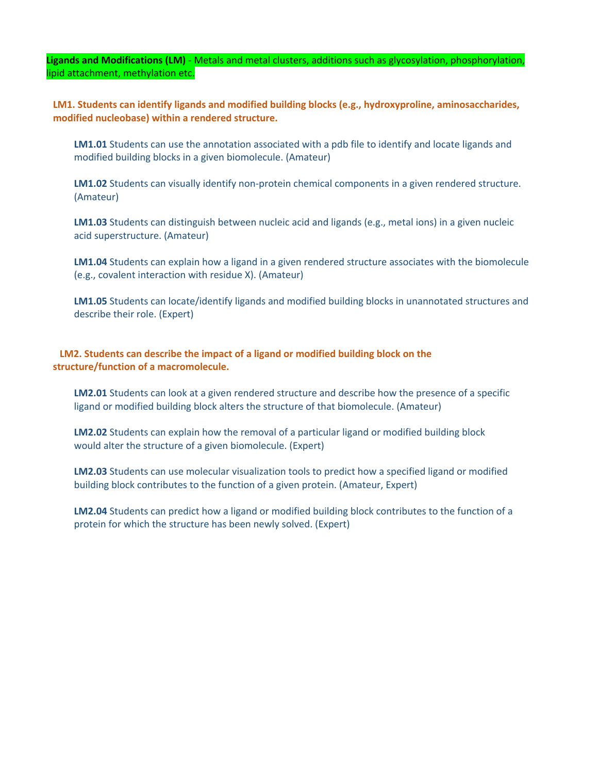**Ligands and Modifications (LM)** - Metals and metal clusters, additions such as glycosylation, phosphorylation, lipid attachment, methylation etc.

**LM1. Students can identify ligands and modified building blocks (e.g., hydroxyproline, aminosaccharides, modified nucleobase) within a rendered structure.**

**LM1.01** Students can use the annotation associated with a pdb file to identify and locate ligands and modified building blocks in a given biomolecule. (Amateur)

**LM1.02** Students can visually identify non-protein chemical components in a given rendered structure. (Amateur)

**LM1.03** Students can distinguish between nucleic acid and ligands (e.g., metal ions) in a given nucleic acid superstructure. (Amateur)

**LM1.04** Students can explain how a ligand in a given rendered structure associates with the biomolecule (e.g., covalent interaction with residue X). (Amateur)

**LM1.05** Students can locate/identify ligands and modified building blocks in unannotated structures and describe their role. (Expert)

**LM2. Students can describe the impact of a ligand or modified building block on the structure/function of a macromolecule.**

**LM2.01** Students can look at a given rendered structure and describe how the presence of a specific ligand or modified building block alters the structure of that biomolecule. (Amateur)

**LM2.02** Students can explain how the removal of a particular ligand or modified building block would alter the structure of a given biomolecule. (Expert)

**LM2.03** Students can use molecular visualization tools to predict how a specified ligand or modified building block contributes to the function of a given protein. (Amateur, Expert)

**LM2.04** Students can predict how a ligand or modified building block contributes to the function of a protein for which the structure has been newly solved. (Expert)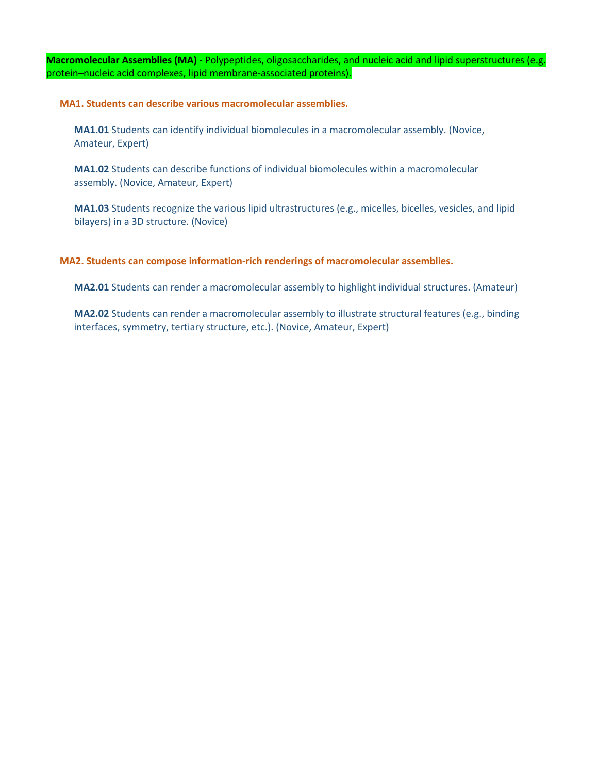**Macromolecular Assemblies (MA)** - Polypeptides, oligosaccharides, and nucleic acid and lipid superstructures (e.g. protein–nucleic acid complexes, lipid membrane-associated proteins).

**MA1. Students can describe various macromolecular assemblies.**

**MA1.01** Students can identify individual biomolecules in a macromolecular assembly. (Novice, Amateur, Expert)

**MA1.02** Students can describe functions of individual biomolecules within a macromolecular assembly. (Novice, Amateur, Expert)

**MA1.03** Students recognize the various lipid ultrastructures (e.g., micelles, bicelles, vesicles, and lipid bilayers) in a 3D structure. (Novice)

### **MA2. Students can compose information-rich renderings of macromolecular assemblies.**

**MA2.01** Students can render a macromolecular assembly to highlight individual structures. (Amateur)

**MA2.02** Students can render a macromolecular assembly to illustrate structural features (e.g., binding interfaces, symmetry, tertiary structure, etc.). (Novice, Amateur, Expert)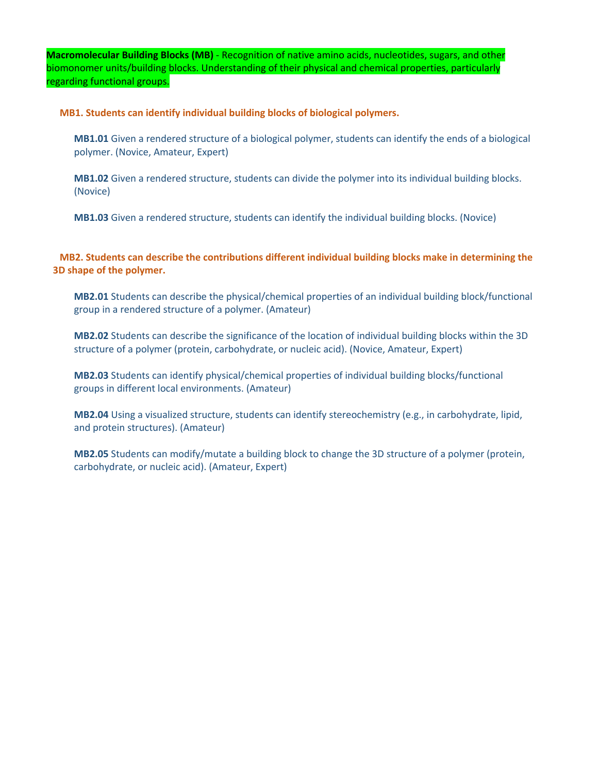**Macromolecular Building Blocks (MB)** - Recognition of native amino acids, nucleotides, sugars, and other biomonomer units/building blocks. Understanding of their physical and chemical properties, particularly regarding functional groups.

**MB1. Students can identify individual building blocks of biological polymers.**

**MB1.01** Given a rendered structure of a biological polymer, students can identify the ends of a biological polymer. (Novice, Amateur, Expert)

**MB1.02** Given a rendered structure, students can divide the polymer into its individual building blocks. (Novice)

**MB1.03** Given a rendered structure, students can identify the individual building blocks. (Novice)

**MB2. Students can describe the contributions different individual building blocks make in determining the 3D shape of the polymer.**

**MB2.01** Students can describe the physical/chemical properties of an individual building block/functional group in a rendered structure of a polymer. (Amateur)

**MB2.02** Students can describe the significance of the location of individual building blocks within the 3D structure of a polymer (protein, carbohydrate, or nucleic acid). (Novice, Amateur, Expert)

**MB2.03** Students can identify physical/chemical properties of individual building blocks/functional groups in different local environments. (Amateur)

**MB2.04** Using a visualized structure, students can identify stereochemistry (e.g., in carbohydrate, lipid, and protein structures). (Amateur)

**MB2.05** Students can modify/mutate a building block to change the 3D structure of a polymer (protein, carbohydrate, or nucleic acid). (Amateur, Expert)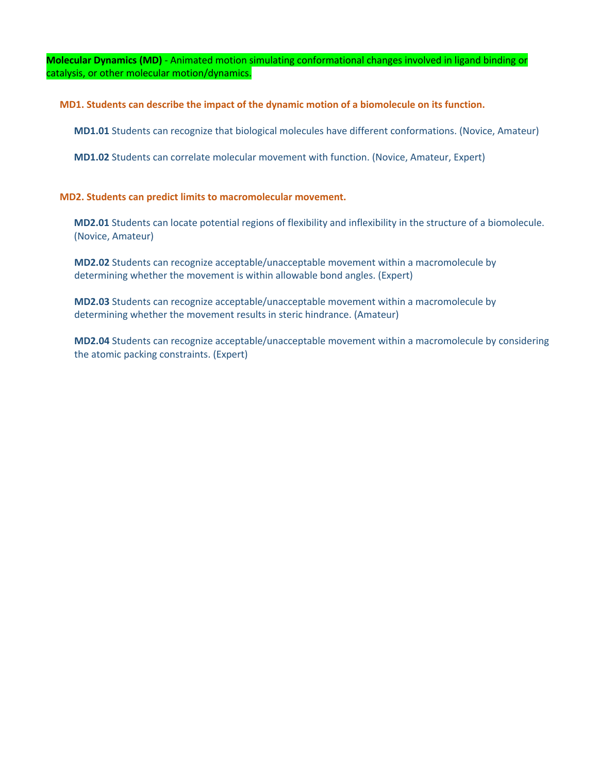**Molecular Dynamics (MD)** - Animated motion simulating conformational changes involved in ligand binding or catalysis, or other molecular motion/dynamics.

**MD1. Students can describe the impact of the dynamic motion of a biomolecule on its function.**

**MD1.01** Students can recognize that biological molecules have different conformations. (Novice, Amateur)

**MD1.02** Students can correlate molecular movement with function. (Novice, Amateur, Expert)

### **MD2. Students can predict limits to macromolecular movement.**

**MD2.01** Students can locate potential regions of flexibility and inflexibility in the structure of a biomolecule. (Novice, Amateur)

**MD2.02** Students can recognize acceptable/unacceptable movement within a macromolecule by determining whether the movement is within allowable bond angles. (Expert)

**MD2.03** Students can recognize acceptable/unacceptable movement within a macromolecule by determining whether the movement results in steric hindrance. (Amateur)

**MD2.04** Students can recognize acceptable/unacceptable movement within a macromolecule by considering the atomic packing constraints. (Expert)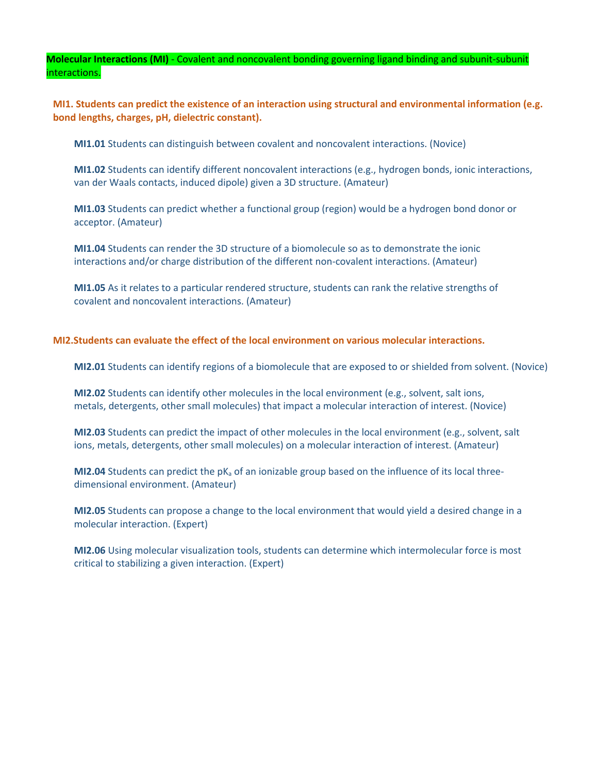**Molecular Interactions (MI)** - Covalent and noncovalent bonding governing ligand binding and subunit-subunit interactions.

**MI1. Students can predict the existence of an interaction using structural and environmental information (e.g. bond lengths, charges, pH, dielectric constant).**

**MI1.01** Students can distinguish between covalent and noncovalent interactions. (Novice)

**MI1.02** Students can identify different noncovalent interactions (e.g., hydrogen bonds, ionic interactions, van der Waals contacts, induced dipole) given a 3D structure. (Amateur)

**MI1.03** Students can predict whether a functional group (region) would be a hydrogen bond donor or acceptor. (Amateur)

**MI1.04** Students can render the 3D structure of a biomolecule so as to demonstrate the ionic interactions and/or charge distribution of the different non-covalent interactions. (Amateur)

**MI1.05** As it relates to a particular rendered structure, students can rank the relative strengths of covalent and noncovalent interactions. (Amateur)

#### **MI2.Students can evaluate the effect of the local environment on various molecular interactions.**

**MI2.01** Students can identify regions of a biomolecule that are exposed to or shielded from solvent. (Novice)

**MI2.02** Students can identify other molecules in the local environment (e.g., solvent, salt ions, metals, detergents, other small molecules) that impact a molecular interaction of interest. (Novice)

**MI2.03** Students can predict the impact of other molecules in the local environment (e.g., solvent, salt ions, metals, detergents, other small molecules) on a molecular interaction of interest. (Amateur)

**MI2.04** Students can predict the pKa of an ionizable group based on the influence of its local threedimensional environment. (Amateur)

**MI2.05** Students can propose a change to the local environment that would yield a desired change in a molecular interaction. (Expert)

**MI2.06** Using molecular visualization tools, students can determine which intermolecular force is most critical to stabilizing a given interaction. (Expert)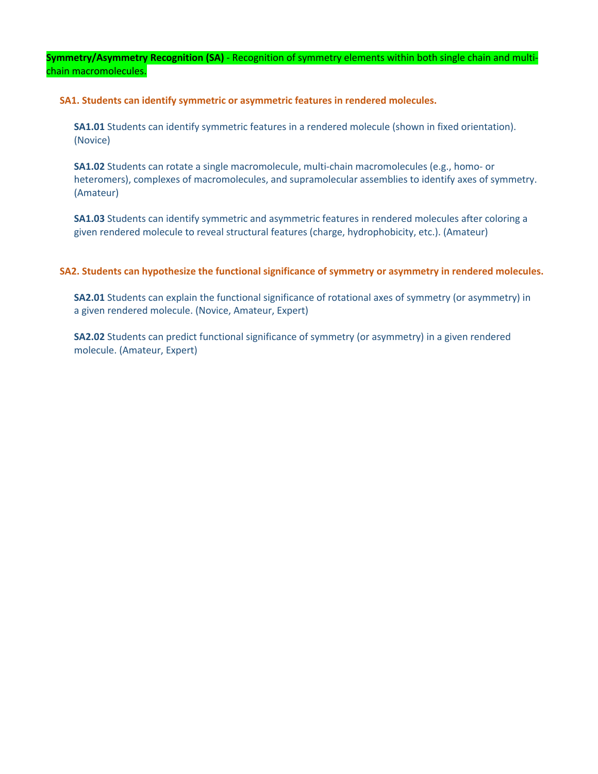**Symmetry/Asymmetry Recognition (SA)** - Recognition of symmetry elements within both single chain and multichain macromolecules.

**SA1. Students can identify symmetric or asymmetric features in rendered molecules.**

**SA1.01** Students can identify symmetric features in a rendered molecule (shown in fixed orientation). (Novice)

**SA1.02** Students can rotate a single macromolecule, multi-chain macromolecules (e.g., homo- or heteromers), complexes of macromolecules, and supramolecular assemblies to identify axes of symmetry. (Amateur)

**SA1.03** Students can identify symmetric and asymmetric features in rendered molecules after coloring a given rendered molecule to reveal structural features (charge, hydrophobicity, etc.). (Amateur)

### **SA2. Students can hypothesize the functional significance of symmetry or asymmetry in rendered molecules.**

**SA2.01** Students can explain the functional significance of rotational axes of symmetry (or asymmetry) in a given rendered molecule. (Novice, Amateur, Expert)

**SA2.02** Students can predict functional significance of symmetry (or asymmetry) in a given rendered molecule. (Amateur, Expert)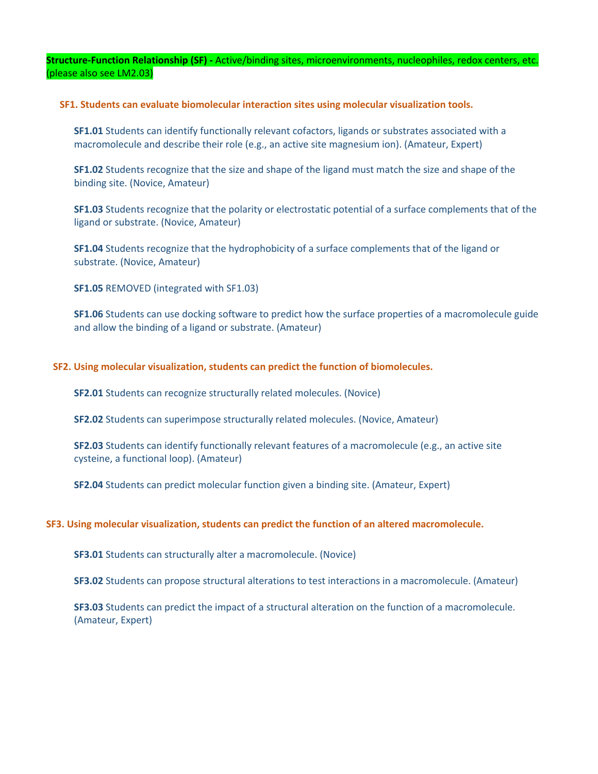**Structure-Function Relationship (SF) -** Active/binding sites, microenvironments, nucleophiles, redox centers, etc. (please also see LM2.03)

#### **SF1. Students can evaluate biomolecular interaction sites using molecular visualization tools.**

**SF1.01** Students can identify functionally relevant cofactors, ligands or substrates associated with a macromolecule and describe their role (e.g., an active site magnesium ion). (Amateur, Expert)

**SF1.02** Students recognize that the size and shape of the ligand must match the size and shape of the binding site. (Novice, Amateur)

**SF1.03** Students recognize that the polarity or electrostatic potential of a surface complements that of the ligand or substrate. (Novice, Amateur)

**SF1.04** Students recognize that the hydrophobicity of a surface complements that of the ligand or substrate. (Novice, Amateur)

**SF1.05** REMOVED (integrated with SF1.03)

**SF1.06** Students can use docking software to predict how the surface properties of a macromolecule guide and allow the binding of a ligand or substrate. (Amateur)

#### **SF2. Using molecular visualization, students can predict the function of biomolecules.**

**SF2.01** Students can recognize structurally related molecules. (Novice)

**SF2.02** Students can superimpose structurally related molecules. (Novice, Amateur)

**SF2.03** Students can identify functionally relevant features of a macromolecule (e.g., an active site cysteine, a functional loop). (Amateur)

**SF2.04** Students can predict molecular function given a binding site. (Amateur, Expert)

#### **SF3. Using molecular visualization, students can predict the function of an altered macromolecule.**

**SF3.01** Students can structurally alter a macromolecule. (Novice)

**SF3.02** Students can propose structural alterations to test interactions in a macromolecule. (Amateur)

**SF3.03** Students can predict the impact of a structural alteration on the function of a macromolecule. (Amateur, Expert)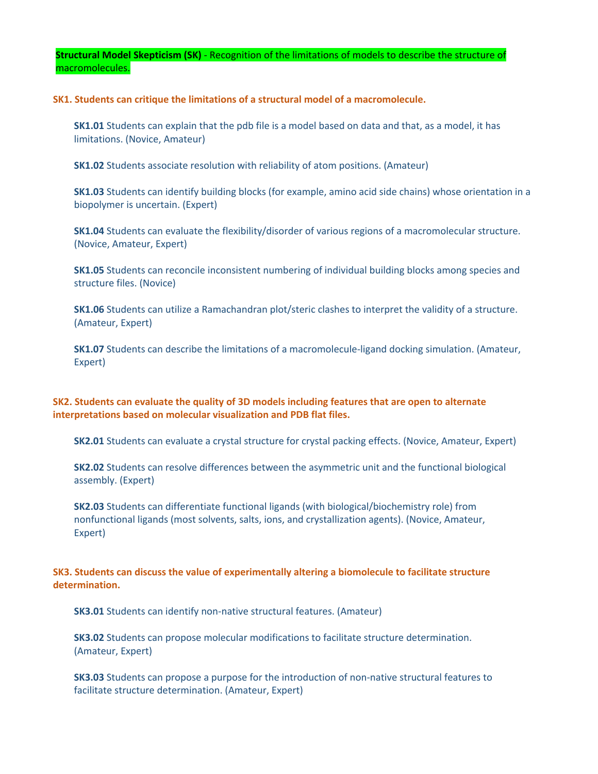**Structural Model Skepticism (SK)** - Recognition of the limitations of models to describe the structure of macromolecules.

**SK1. Students can critique the limitations of a structural model of a macromolecule.**

**SK1.01** Students can explain that the pdb file is a model based on data and that, as a model, it has limitations. (Novice, Amateur)

**SK1.02** Students associate resolution with reliability of atom positions. (Amateur)

**SK1.03** Students can identify building blocks (for example, amino acid side chains) whose orientation in a biopolymer is uncertain. (Expert)

**SK1.04** Students can evaluate the flexibility/disorder of various regions of a macromolecular structure. (Novice, Amateur, Expert)

**SK1.05** Students can reconcile inconsistent numbering of individual building blocks among species and structure files. (Novice)

**SK1.06** Students can utilize a Ramachandran plot/steric clashes to interpret the validity of a structure. (Amateur, Expert)

**SK1.07** Students can describe the limitations of a macromolecule-ligand docking simulation. (Amateur, Expert)

**SK2. Students can evaluate the quality of 3D models including features that are open to alternate interpretations based on molecular visualization and PDB flat files.**

**SK2.01** Students can evaluate a crystal structure for crystal packing effects. (Novice, Amateur, Expert)

**SK2.02** Students can resolve differences between the asymmetric unit and the functional biological assembly. (Expert)

**SK2.03** Students can differentiate functional ligands (with biological/biochemistry role) from nonfunctional ligands (most solvents, salts, ions, and crystallization agents). (Novice, Amateur, Expert)

### **SK3. Students can discuss the value of experimentally altering a biomolecule to facilitate structure determination.**

**SK3.01** Students can identify non-native structural features. (Amateur)

**SK3.02** Students can propose molecular modifications to facilitate structure determination. (Amateur, Expert)

**SK3.03** Students can propose a purpose for the introduction of non-native structural features to facilitate structure determination. (Amateur, Expert)